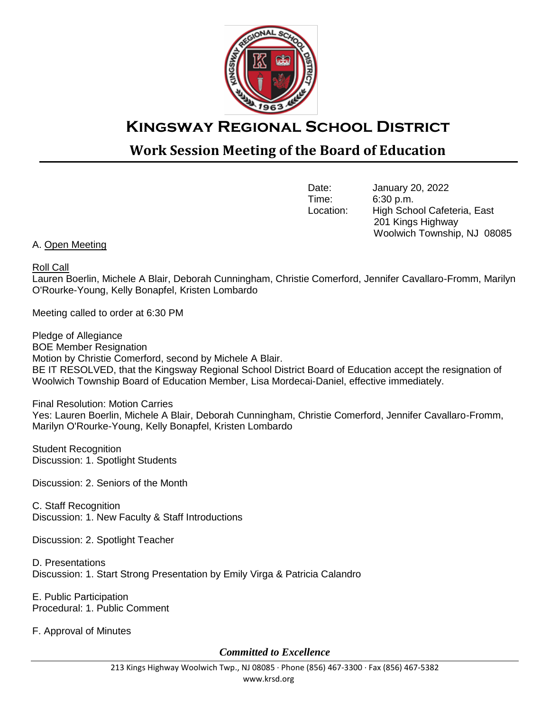

## **Kingsway Regional School District**

## **Work Session Meeting of the Board of Education**

Date: January 20, 2022<br>Time: 6:30 p.m. 6:30 p.m. Location: High School Cafeteria, East 201 Kings Highway Woolwich Township, NJ 08085

## A. Open Meeting

Roll Call

Lauren Boerlin, Michele A Blair, Deborah Cunningham, Christie Comerford, Jennifer Cavallaro-Fromm, Marilyn O'Rourke-Young, Kelly Bonapfel, Kristen Lombardo

Meeting called to order at 6:30 PM

Pledge of Allegiance BOE Member Resignation Motion by Christie Comerford, second by Michele A Blair. BE IT RESOLVED, that the Kingsway Regional School District Board of Education accept the resignation of Woolwich Township Board of Education Member, Lisa Mordecai-Daniel, effective immediately.

Final Resolution: Motion Carries Yes: Lauren Boerlin, Michele A Blair, Deborah Cunningham, Christie Comerford, Jennifer Cavallaro-Fromm, Marilyn O'Rourke-Young, Kelly Bonapfel, Kristen Lombardo

Student Recognition Discussion: 1. Spotlight Students

Discussion: 2. Seniors of the Month

C. Staff Recognition Discussion: 1. New Faculty & Staff Introductions

Discussion: 2. Spotlight Teacher

D. Presentations Discussion: 1. Start Strong Presentation by Emily Virga & Patricia Calandro

E. Public Participation Procedural: 1. Public Comment

F. Approval of Minutes

*Committed to Excellence*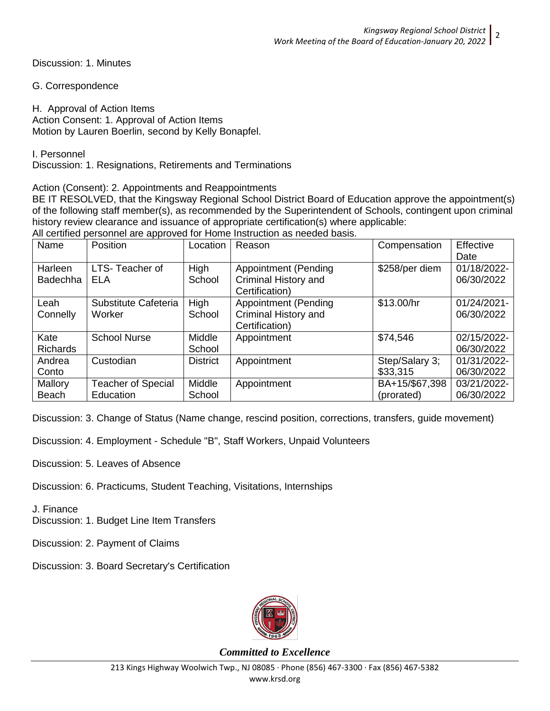Discussion: 1. Minutes

G. Correspondence

H. Approval of Action Items Action Consent: 1. Approval of Action Items Motion by Lauren Boerlin, second by Kelly Bonapfel.

I. Personnel

Discussion: 1. Resignations, Retirements and Terminations

Action (Consent): 2. Appointments and Reappointments

BE IT RESOLVED, that the Kingsway Regional School District Board of Education approve the appointment(s) of the following staff member(s), as recommended by the Superintendent of Schools, contingent upon criminal history review clearance and issuance of appropriate certification(s) where applicable: All certified personnel are approved for Home Instruction as needed basis.

|                 |                           |                 | All certified personnel are approved for Home mistruction as needed basis. |                |             |
|-----------------|---------------------------|-----------------|----------------------------------------------------------------------------|----------------|-------------|
| Name            | Position                  | Location        | Reason                                                                     | Compensation   | Effective   |
|                 |                           |                 |                                                                            |                | Date        |
| Harleen         | LTS-Teacher of            | High            | <b>Appointment (Pending</b>                                                | \$258/per diem | 01/18/2022- |
| <b>Badechha</b> | ELA                       | School          | Criminal History and                                                       |                | 06/30/2022  |
|                 |                           |                 | Certification)                                                             |                |             |
| Leah            | Substitute Cafeteria      | High            | <b>Appointment (Pending</b>                                                | \$13.00/hr     | 01/24/2021- |
| Connelly        | Worker                    | School          | Criminal History and                                                       |                | 06/30/2022  |
|                 |                           |                 | Certification)                                                             |                |             |
| Kate            | <b>School Nurse</b>       | Middle          | Appointment                                                                | \$74,546       | 02/15/2022- |
| Richards        |                           | School          |                                                                            |                | 06/30/2022  |
| Andrea          | Custodian                 | <b>District</b> | Appointment                                                                | Step/Salary 3; | 01/31/2022- |
| Conto           |                           |                 |                                                                            | \$33,315       | 06/30/2022  |
| Mallory         | <b>Teacher of Special</b> | Middle          | Appointment                                                                | BA+15/\$67,398 | 03/21/2022- |
| <b>Beach</b>    | Education                 | School          |                                                                            | (prorated)     | 06/30/2022  |

Discussion: 3. Change of Status (Name change, rescind position, corrections, transfers, guide movement)

Discussion: 4. Employment - Schedule "B", Staff Workers, Unpaid Volunteers

- Discussion: 5. Leaves of Absence
- Discussion: 6. Practicums, Student Teaching, Visitations, Internships

J. Finance

Discussion: 1. Budget Line Item Transfers

- Discussion: 2. Payment of Claims
- Discussion: 3. Board Secretary's Certification



*Committed to Excellence*

2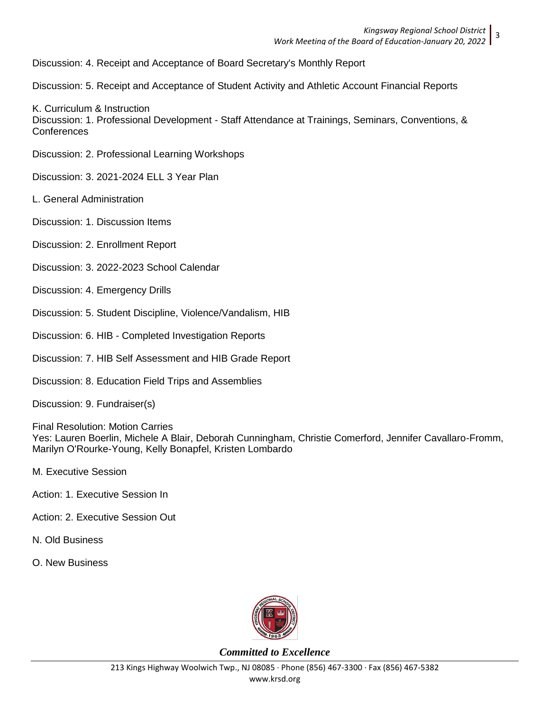Discussion: 4. Receipt and Acceptance of Board Secretary's Monthly Report

Discussion: 5. Receipt and Acceptance of Student Activity and Athletic Account Financial Reports

K. Curriculum & Instruction Discussion: 1. Professional Development - Staff Attendance at Trainings, Seminars, Conventions, & Conferences

Discussion: 2. Professional Learning Workshops

Discussion: 3. 2021-2024 ELL 3 Year Plan

- L. General Administration
- Discussion: 1. Discussion Items
- Discussion: 2. Enrollment Report
- Discussion: 3. 2022-2023 School Calendar
- Discussion: 4. Emergency Drills
- Discussion: 5. Student Discipline, Violence/Vandalism, HIB
- Discussion: 6. HIB Completed Investigation Reports
- Discussion: 7. HIB Self Assessment and HIB Grade Report
- Discussion: 8. Education Field Trips and Assemblies

Discussion: 9. Fundraiser(s)

Final Resolution: Motion Carries Yes: Lauren Boerlin, Michele A Blair, Deborah Cunningham, Christie Comerford, Jennifer Cavallaro-Fromm, Marilyn O'Rourke-Young, Kelly Bonapfel, Kristen Lombardo

- M. Executive Session
- Action: 1. Executive Session In
- Action: 2. Executive Session Out
- N. Old Business
- O. New Business



*Committed to Excellence*